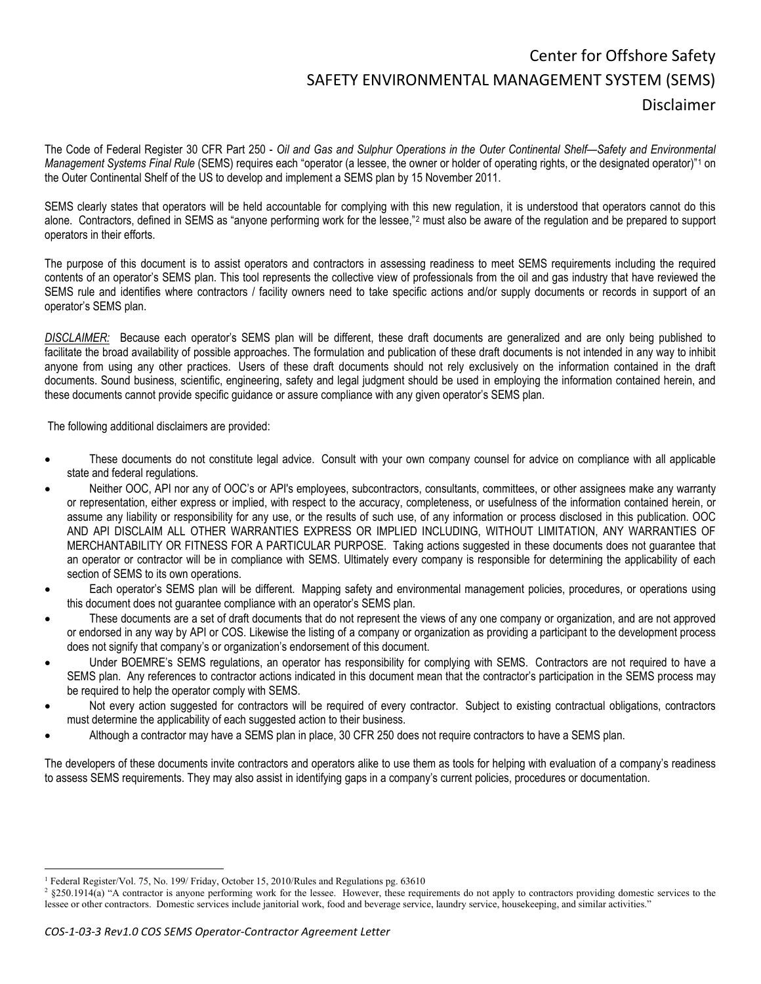## Center for Offshore Safety SAFETY ENVIRONMENTAL MANAGEMENT SYSTEM (SEMS) Disclaimer

The Code of Federal Register 30 CFR Part 250 - *Oil and Gas and Sulphur Operations in the Outer Continental Shelf—Safety and Environmental Management Systems Final Rule* (SEMS) requires each "operator (a lessee, the owner or holder of operating rights, or the designated operator)"[1](#page-0-0) on the Outer Continental Shelf of the US to develop and implement a SEMS plan by 15 November 2011.

SEMS clearly states that operators will be held accountable for complying with this new regulation, it is understood that operators cannot do this alone. Contractors, defined in SEMS as "anyone performing work for the lessee,"[2](#page-0-1) must also be aware of the regulation and be prepared to support operators in their efforts.

The purpose of this document is to assist operators and contractors in assessing readiness to meet SEMS requirements including the required contents of an operator's SEMS plan. This tool represents the collective view of professionals from the oil and gas industry that have reviewed the SEMS rule and identifies where contractors / facility owners need to take specific actions and/or supply documents or records in support of an operator's SEMS plan.

*DISCLAIMER:* Because each operator's SEMS plan will be different, these draft documents are generalized and are only being published to facilitate the broad availability of possible approaches. The formulation and publication of these draft documents is not intended in any way to inhibit anyone from using any other practices. Users of these draft documents should not rely exclusively on the information contained in the draft documents. Sound business, scientific, engineering, safety and legal judgment should be used in employing the information contained herein, and these documents cannot provide specific guidance or assure compliance with any given operator's SEMS plan.

The following additional disclaimers are provided:

- These documents do not constitute legal advice. Consult with your own company counsel for advice on compliance with all applicable state and federal regulations.
- Neither OOC, API nor any of OOC's or API's employees, subcontractors, consultants, committees, or other assignees make any warranty or representation, either express or implied, with respect to the accuracy, completeness, or usefulness of the information contained herein, or assume any liability or responsibility for any use, or the results of such use, of any information or process disclosed in this publication. OOC AND API DISCLAIM ALL OTHER WARRANTIES EXPRESS OR IMPLIED INCLUDING, WITHOUT LIMITATION, ANY WARRANTIES OF MERCHANTABILITY OR FITNESS FOR A PARTICULAR PURPOSE. Taking actions suggested in these documents does not guarantee that an operator or contractor will be in compliance with SEMS. Ultimately every company is responsible for determining the applicability of each section of SEMS to its own operations.
- Each operator's SEMS plan will be different. Mapping safety and environmental management policies, procedures, or operations using this document does not guarantee compliance with an operator's SEMS plan.
- These documents are a set of draft documents that do not represent the views of any one company or organization, and are not approved or endorsed in any way by API or COS. Likewise the listing of a company or organization as providing a participant to the development process does not signify that company's or organization's endorsement of this document.
- Under BOEMRE's SEMS regulations, an operator has responsibility for complying with SEMS. Contractors are not required to have a SEMS plan. Any references to contractor actions indicated in this document mean that the contractor's participation in the SEMS process may be required to help the operator comply with SEMS.
- Not every action suggested for contractors will be required of every contractor. Subject to existing contractual obligations, contractors must determine the applicability of each suggested action to their business.
- Although a contractor may have a SEMS plan in place, 30 CFR 250 does not require contractors to have a SEMS plan.

The developers of these documents invite contractors and operators alike to use them as tools for helping with evaluation of a company's readiness to assess SEMS requirements. They may also assist in identifying gaps in a company's current policies, procedures or documentation.

<span id="page-0-0"></span><sup>&</sup>lt;sup>1</sup> Federal Register/Vol. 75, No. 199/ Friday, October 15, 2010/Rules and Regulations pg. 63610

<span id="page-0-1"></span><sup>&</sup>lt;sup>2</sup> §250.1914(a) "A contractor is anyone performing work for the lessee. However, these requirements do not apply to contractors providing domestic services to the lessee or other contractors. Domestic services include janitorial work, food and beverage service, laundry service, housekeeping, and similar activities."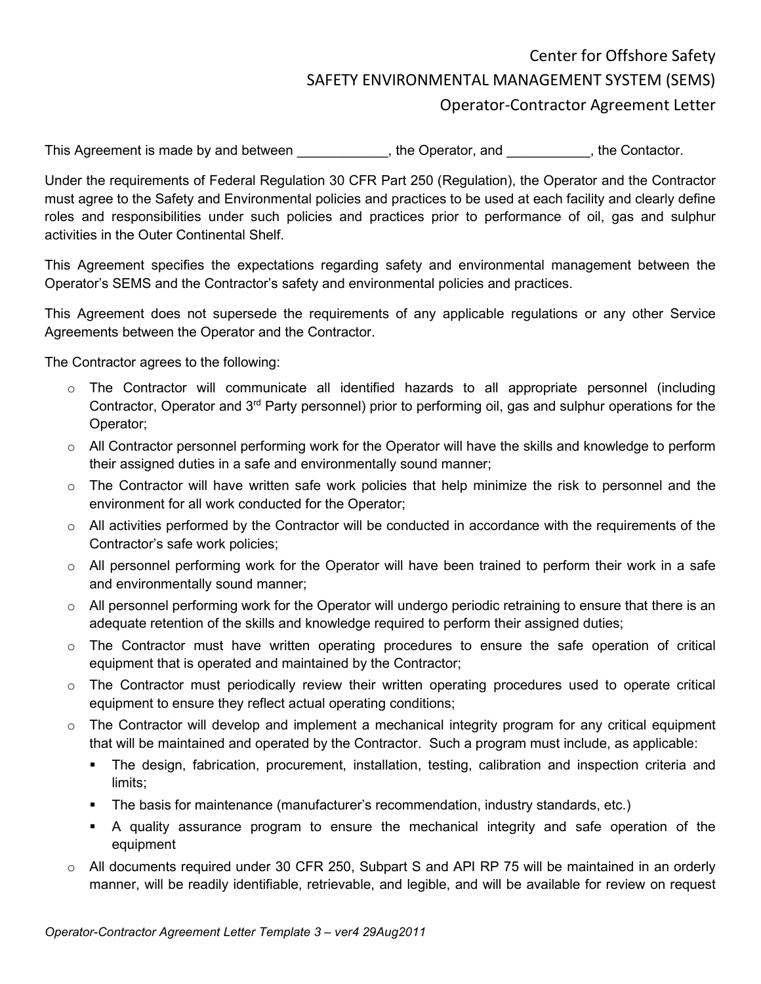## Center for Offshore Safety SAFETY ENVIRONMENTAL MANAGEMENT SYSTEM (SEMS) Operator-Contractor Agreement Letter

This Agreement is made by and between \_\_\_\_\_\_\_\_\_\_, the Operator, and \_\_\_\_\_\_\_\_\_\_, the Contactor.

Under the requirements of Federal Regulation 30 CFR Part 250 (Regulation), the Operator and the Contractor must agree to the Safety and Environmental policies and practices to be used at each facility and clearly define roles and responsibilities under such policies and practices prior to performance of oil, gas and sulphur activities in the Outer Continental Shelf.

This Agreement specifies the expectations regarding safety and environmental management between the Operator's SEMS and the Contractor's safety and environmental policies and practices.

This Agreement does not supersede the requirements of any applicable regulations or any other Service Agreements between the Operator and the Contractor.

The Contractor agrees to the following:

- $\circ$  The Contractor will communicate all identified hazards to all appropriate personnel (including Contractor, Operator and 3rd Party personnel) prior to performing oil, gas and sulphur operations for the Operator;
- o All Contractor personnel performing work for the Operator will have the skills and knowledge to perform their assigned duties in a safe and environmentally sound manner;
- $\circ$  The Contractor will have written safe work policies that help minimize the risk to personnel and the environment for all work conducted for the Operator;
- o All activities performed by the Contractor will be conducted in accordance with the requirements of the Contractor's safe work policies;
- $\circ$  All personnel performing work for the Operator will have been trained to perform their work in a safe and environmentally sound manner;
- $\circ$  All personnel performing work for the Operator will undergo periodic retraining to ensure that there is an adequate retention of the skills and knowledge required to perform their assigned duties;
- $\circ$  The Contractor must have written operating procedures to ensure the safe operation of critical equipment that is operated and maintained by the Contractor;
- $\circ$  The Contractor must periodically review their written operating procedures used to operate critical equipment to ensure they reflect actual operating conditions;
- $\circ$  The Contractor will develop and implement a mechanical integrity program for any critical equipment that will be maintained and operated by the Contractor. Such a program must include, as applicable:
	- The design, fabrication, procurement, installation, testing, calibration and inspection criteria and limits;
	- The basis for maintenance (manufacturer's recommendation, industry standards, etc.)
	- A quality assurance program to ensure the mechanical integrity and safe operation of the equipment
- $\circ$  All documents required under 30 CFR 250, Subpart S and API RP 75 will be maintained in an orderly manner, will be readily identifiable, retrievable, and legible, and will be available for review on request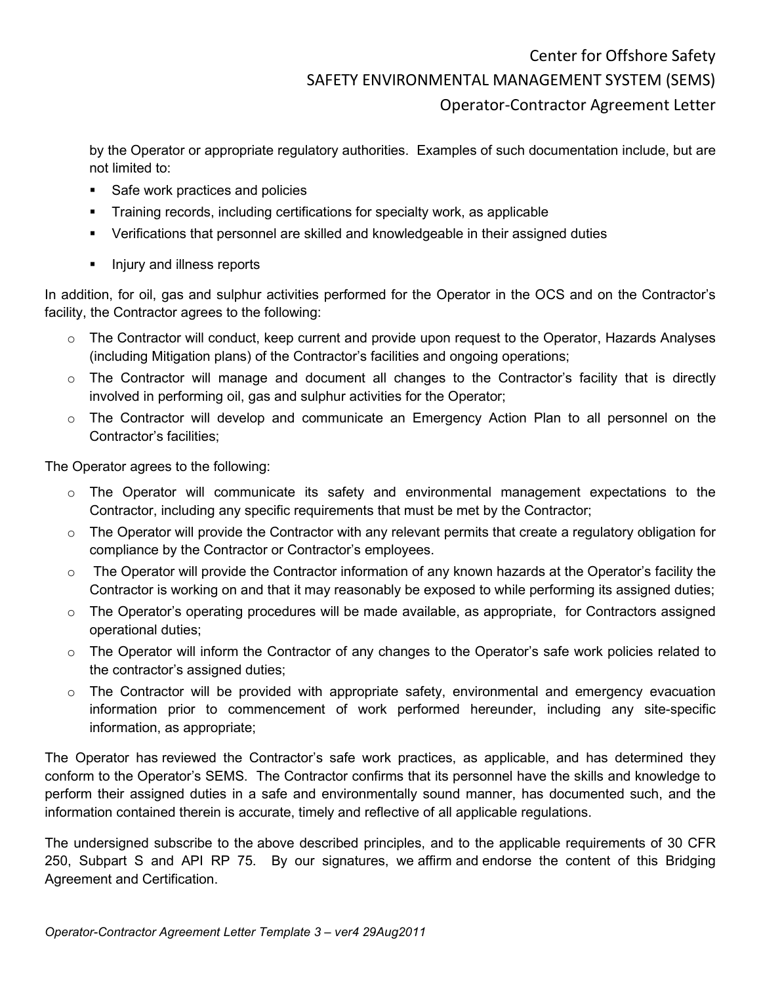## Center for Offshore Safety SAFETY ENVIRONMENTAL MANAGEMENT SYSTEM (SEMS) Operator-Contractor Agreement Letter

by the Operator or appropriate regulatory authorities. Examples of such documentation include, but are not limited to:

- Safe work practices and policies
- **Training records, including certifications for specialty work, as applicable**
- Verifications that personnel are skilled and knowledgeable in their assigned duties
- **Injury and illness reports**

In addition, for oil, gas and sulphur activities performed for the Operator in the OCS and on the Contractor's facility, the Contractor agrees to the following:

- $\circ$  The Contractor will conduct, keep current and provide upon request to the Operator, Hazards Analyses (including Mitigation plans) of the Contractor's facilities and ongoing operations;
- $\circ$  The Contractor will manage and document all changes to the Contractor's facility that is directly involved in performing oil, gas and sulphur activities for the Operator;
- $\circ$  The Contractor will develop and communicate an Emergency Action Plan to all personnel on the Contractor's facilities;

The Operator agrees to the following:

- o The Operator will communicate its safety and environmental management expectations to the Contractor, including any specific requirements that must be met by the Contractor;
- $\circ$  The Operator will provide the Contractor with any relevant permits that create a regulatory obligation for compliance by the Contractor or Contractor's employees.
- $\circ$  The Operator will provide the Contractor information of any known hazards at the Operator's facility the Contractor is working on and that it may reasonably be exposed to while performing its assigned duties;
- $\circ$  The Operator's operating procedures will be made available, as appropriate, for Contractors assigned operational duties;
- $\circ$  The Operator will inform the Contractor of any changes to the Operator's safe work policies related to the contractor's assigned duties;
- $\circ$  The Contractor will be provided with appropriate safety, environmental and emergency evacuation information prior to commencement of work performed hereunder, including any site-specific information, as appropriate;

The Operator has reviewed the Contractor's safe work practices, as applicable, and has determined they conform to the Operator's SEMS. The Contractor confirms that its personnel have the skills and knowledge to perform their assigned duties in a safe and environmentally sound manner, has documented such, and the information contained therein is accurate, timely and reflective of all applicable regulations.

The undersigned subscribe to the above described principles, and to the applicable requirements of 30 CFR 250, Subpart S and API RP 75. By our signatures, we affirm and endorse the content of this Bridging Agreement and Certification.